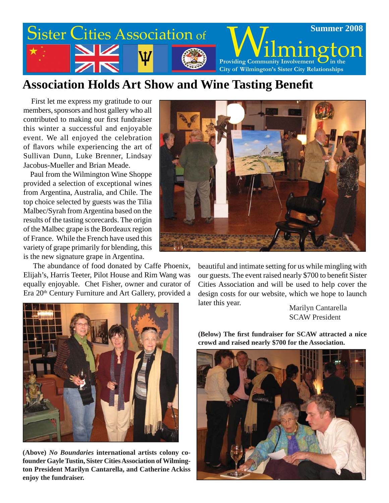

## **Association Holds Art Show and Wine Tasting Benefi t**

 First let me express my gratitude to our members, sponsors and host gallery who all contributed to making our first fundraiser this winter a successful and enjoyable event. We all enjoyed the celebration of flavors while experiencing the art of Sullivan Dunn, Luke Brenner, Lindsay Jacobus-Mueller and Brian Meade.

 Paul from the Wilmington Wine Shoppe provided a selection of exceptional wines from Argentina, Australia, and Chile. The top choice selected by guests was the Tilia Malbec/Syrah from Argentina based on the results of the tasting scorecards. The origin of the Malbec grape is the Bordeaux region of France. While the French have used this variety of grape primarily for blending, this is the new signature grape in Argentina.

 The abundance of food donated by Caffe Phoenix, Elijah's, Harris Teeter, Pilot House and Rim Wang was equally enjoyable. Chet Fisher, owner and curator of Era 20th Century Furniture and Art Gallery, provided a



beautiful and intimate setting for us while mingling with our guests. The event raised nearly \$700 to benefit Sister Cities Association and will be used to help cover the design costs for our website, which we hope to launch later this year.

Marilyn Cantarella SCAW President







**(Above)** *No Boundaries* **international artists colony cofounder Gayle Tustin, Sister Cities Association of Wilmington President Marilyn Cantarella, and Catherine Ackiss enjoy the fundraiser.**